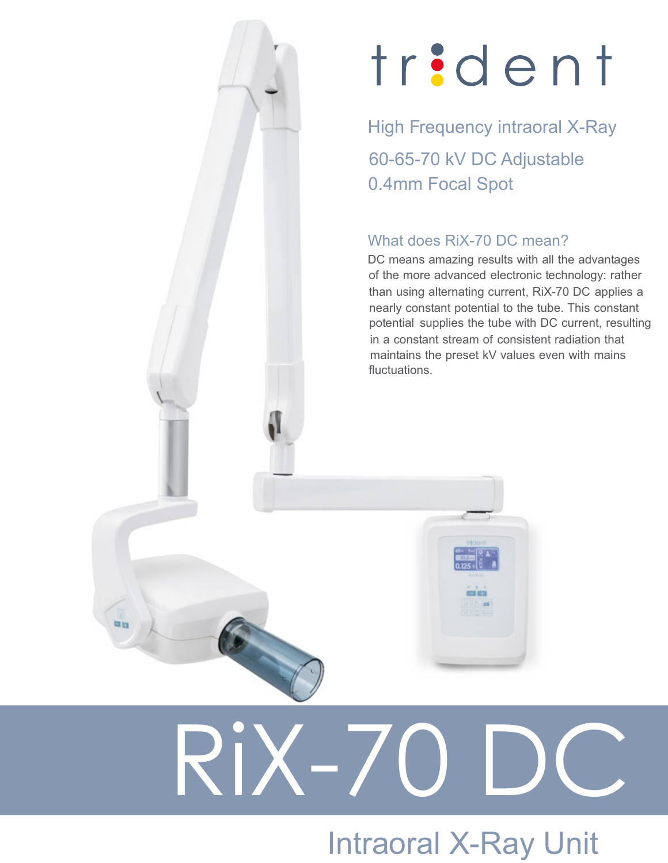# trident

High Frequency intraoral X-Ray 60-65-70 kV DC Adjustable 0.4mm Focal Spot

#### What does RiX-70 DC mean?

DC means amazing results with all the advantages of the more advanced electronic technology: rather than using alternating current, RiX-70 DC applies a nearly constant potential to the tube. This constant potential supplies the tube with DC current, resulting in a constant stream of consistent radiation that maintains the preset kV values even with mains fluctuations.

# $\overline{\phantom{a}}$

## Intraoral X-Ray Unit